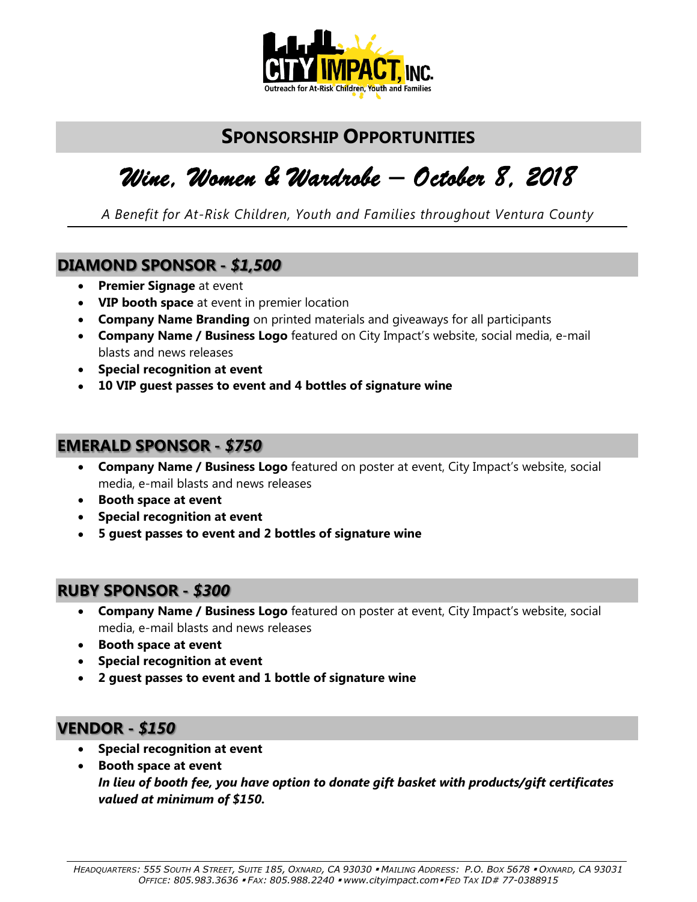

### **SPONSORSHIP OPPORTUNITIES**

## *Wine, Women & Wardrobe – October 8, 2018*

*A Benefit for At-Risk Children, Youth and Families throughout Ventura County*

#### **DIAMOND SPONSOR -** *\$1,500*

- **Premier Signage** at event
- **VIP booth space** at event in premier location
- **Company Name Branding** on printed materials and giveaways for all participants
- **Company Name / Business Logo** featured on City Impact's website, social media, e-mail blasts and news releases
- **Special recognition at event**
- **10 VIP guest passes to event and 4 bottles of signature wine**

#### **EMERALD SPONSOR -** *\$750*

- **Company Name / Business Logo** featured on poster at event, City Impact's website, social media, e-mail blasts and news releases
- **Booth space at event**
- **Special recognition at event**
- **5 guest passes to event and 2 bottles of signature wine**

#### **RUBY SPONSOR -** *\$300*

- **Company Name / Business Logo** featured on poster at event, City Impact's website, social media, e-mail blasts and news releases
- **Booth space at event**
- **Special recognition at event**
- **2 guest passes to event and 1 bottle of signature wine**

#### **VENDOR -** *\$150*

- **Special recognition at event**
- **Booth space at event**  *In lieu of booth fee, you have option to donate gift basket with products/gift certificates valued at minimum of \$150.*